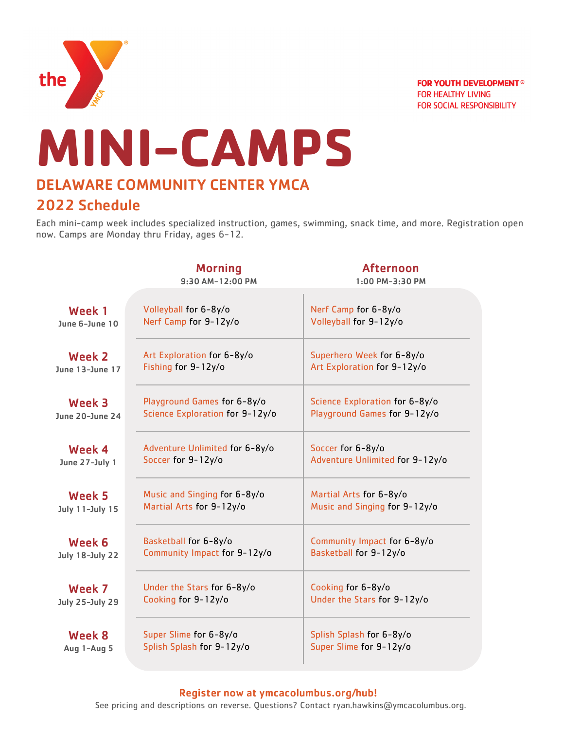

**FOR YOUTH DEVELOPMENT<sup>®</sup> FOR HEALTHY LIVING FOR SOCIAL RESPONSIBILITY** 

# **MINI-CAMPS** DELAWARE COMMUNITY CENTER YMCA

# 2022 Schedule

Each mini-camp week includes specialized instruction, games, swimming, snack time, and more. Registration open now. Camps are Monday thru Friday, ages 6-12.

|                        | <b>Morning</b><br>9:30 AM-12:00 PM | <b>Afternoon</b><br>1:00 PM-3:30 PM |
|------------------------|------------------------------------|-------------------------------------|
| Week 1                 | Volleyball for 6-8y/o              | Nerf Camp for 6-8y/o                |
| June 6-June 10         | Nerf Camp for 9-12y/o              | Volleyball for 9-12y/o              |
| <b>Week 2</b>          | Art Exploration for 6-8y/o         | Superhero Week for 6-8y/o           |
| June 13-June 17        | Fishing for 9-12y/o                | Art Exploration for 9-12y/o         |
| <b>Week 3</b>          | Playground Games for 6-8y/o        | Science Exploration for 6-8y/o      |
| June 20-June 24        | Science Exploration for 9-12y/o    | Playground Games for 9-12y/o        |
| Week 4                 | Adventure Unlimited for 6-8y/o     | Soccer for 6-8y/o                   |
| June 27-July 1         | Soccer for 9-12y/o                 | Adventure Unlimited for 9-12y/o     |
| Week 5                 | Music and Singing for 6-8y/o       | Martial Arts for 6-8y/o             |
| July 11-July 15        | Martial Arts for 9-12y/o           | Music and Singing for 9-12y/o       |
| Week 6                 | Basketball for 6-8y/o              | Community Impact for 6-8y/o         |
| <b>July 18-July 22</b> | Community Impact for 9-12y/o       | Basketball for 9-12y/o              |
| Week 7                 | Under the Stars for 6-8y/o         | Cooking for 6-8y/o                  |
| <b>July 25-July 29</b> | Cooking for 9-12y/o                | Under the Stars for 9-12y/o         |
| <b>Week 8</b>          | Super Slime for 6-8y/o             | Splish Splash for 6-8y/o            |
| Aug 1-Aug 5            | Splish Splash for 9-12y/o          | Super Slime for 9-12y/o             |

## Register now at ymcacolumbus.org/hub!

See pricing and descriptions on reverse. Questions? Contact ryan.hawkins@ymcacolumbus.org.